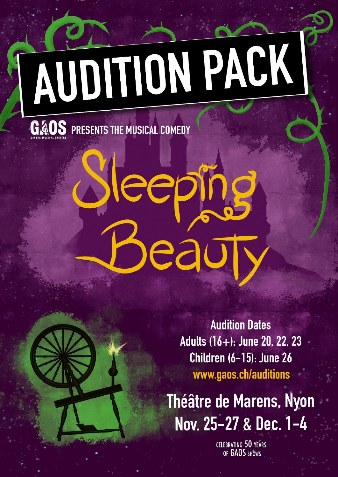# **AUDITION PACK**

eep

ea

**G&OS** PRESENTS THE MUSICAL COMEDY

**Audition Dates** Adults (16+): June 20, 22, 23 Children (6-15): June 26 www.gaos.ch/auditions

**Théâtre de Marens, Nyon** Nov. 25-27 & Dec. 1-4

> **CELEBRATING 50 YEARS** OF GAOS SHOWS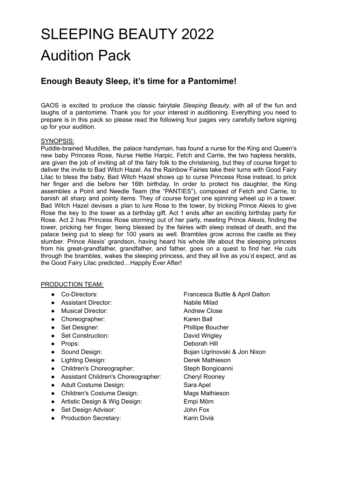# SLEEPING BEAUTY 2022 Audition Pack

### **Enough Beauty Sleep, it's time for a Pantomime!**

GAOS is excited to produce the classic fairytale *Sleeping Beauty*, with all of the fun and laughs of a pantomime. Thank you for your interest in auditioning. Everything you need to prepare is in this pack so please read the following four pages very carefully before signing up for your audition.

#### SYNOPSIS:

Puddle-brained Muddles, the palace handyman, has found a nurse for the King and Queen's new baby Princess Rose, Nurse Hettie Harpic. Fetch and Carrie, the two hapless heralds, are given the job of inviting all of the fairy folk to the christening, but they of course forget to deliver the invite to Bad Witch Hazel. As the Rainbow Fairies take their turns with Good Fairy Lilac to bless the baby, Bad Witch Hazel shows up to curse Princess Rose instead, to prick her finger and die before her 16th birthday. In order to protect his daughter, the King assembles a Point and Needle Team (the "PANTIES"), composed of Fetch and Carrie, to banish all sharp and pointy items. They of course forget one spinning wheel up in a tower. Bad Witch Hazel devises a plan to lure Rose to the tower, by tricking Prince Alexis to give Rose the key to the tower as a birthday gift. Act 1 ends after an exciting birthday party for Rose. Act 2 has Princess Rose storming out of her party, meeting Prince Alexis, finding the tower, pricking her finger, being blessed by the fairies with sleep instead of death, and the palace being put to sleep for 100 years as well. Brambles grow across the castle as they slumber. Prince Alexis' grandson, having heard his whole life about the sleeping princess from his great-grandfather, grandfather, and father, goes on a quest to find her. He cuts through the brambles, wakes the sleeping princess, and they all live as you'd expect, and as the Good Fairy Lilac predicted…Happily Ever After!

#### PRODUCTION TEAM:

- 
- Assistant Director: Nabile Milad
- Musical Director: Andrew Close
- Choreographer: Karen Ball
- 
- Set Construction: David Wrigley
- 
- 
- Lighting Design: Derek Mathieson
- Children's Choreographer: Steph Bongioanni
- Assistant Children's Choreographer: Cheryl Rooney
- Adult Costume Design: Sara Apel
- Children's Costume Design: Mags Mathieson
- Artistic Design & Wig Design: Empi Mörn
- Set Design Advisor: John Fox
- Production Secretary: Karin Divià
- Co-Directors: Francesca Buttle & April Dalton ● Set Designer: Phillipe Boucher ● Props: Deborah Hill ● Sound Design: Bojan Ugrinovski & Jon Nixon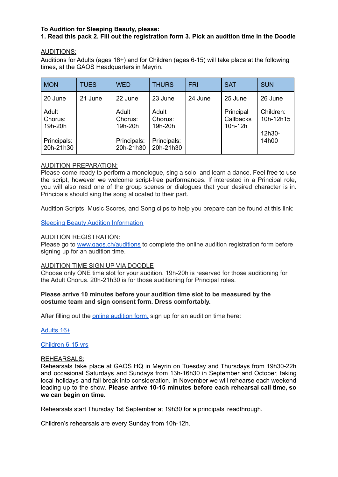#### **To Audition for Sleeping Beauty, please:**

#### **1. Read this pack 2. Fill out the registration form 3. Pick an audition time in the Doodle**

#### AUDITIONS:

Auditions for Adults (ages 16+) and for Children (ages 6-15) will take place at the following times, at the GAOS Headquarters in Meyrin.

| <b>MON</b>                                              | <b>TUES</b> | <b>WED</b>                                              | <b>THURS</b>                                            | <b>FRI</b> | <b>SAT</b>                        | <b>SUN</b>                                |
|---------------------------------------------------------|-------------|---------------------------------------------------------|---------------------------------------------------------|------------|-----------------------------------|-------------------------------------------|
| 20 June                                                 | 21 June     | 22 June                                                 | 23 June                                                 | 24 June    | 25 June                           | 26 June                                   |
| Adult<br>Chorus:<br>19h-20h<br>Principals:<br>20h-21h30 |             | Adult<br>Chorus:<br>19h-20h<br>Principals:<br>20h-21h30 | Adult<br>Chorus:<br>19h-20h<br>Principals:<br>20h-21h30 |            | Principal<br>Callbacks<br>10h-12h | Children:<br>10h-12h15<br>12h30-<br>14h00 |

#### AUDITION PREPARATION:

Please come ready to perform a monologue, sing a solo, and learn a dance. Feel free to use the script, however we welcome script-free performances. If interested in a Principal role, you will also read one of the group scenes or dialogues that your desired character is in. Principals should sing the song allocated to their part.

Audition Scripts, Music Scores, and Song clips to help you prepare can be found at this link:

#### Sleeping Beauty Audition [Information](https://drive.google.com/drive/folders/15JwQPPcigrc3WG8GLlF2nPTmLkSB_8Sp?usp=sharing)

#### AUDITION REGISTRATION:

Please go to [www.gaos.ch/auditions](http://www.gaos.ch/auditions) to complete the online audition registration form before signing up for an audition time.

#### AUDITION TIME SIGN UP VIA DOODLE

Choose only ONE time slot for your audition. 19h-20h is reserved for those auditioning for the Adult Chorus. 20h-21h30 is for those auditioning for Principal roles.

#### **Please arrive 10 minutes before your audition time slot to be measured by the costume team and sign consent form. Dress comfortably.**

After filling out the online [audition](http://www.gaos.ch/audition-form) form, sign up for an audition time here:

[Adults](https://doodle.com/meeting/participate/id/e5yBPp8e) 16+

[Children](https://doodle.com/meeting/participate/id/erkjJvka) 6-15 yrs

#### REHEARSALS:

Rehearsals take place at GAOS HQ in Meyrin on Tuesday and Thursdays from 19h30-22h and occasional Saturdays and Sundays from 13h-16h30 in September and October, taking local holidays and fall break into consideration. In November we will rehearse each weekend leading up to the show. **Please arrive 10-15 minutes before each rehearsal call time, so we can begin on time.**

Rehearsals start Thursday 1st September at 19h30 for a principals' readthrough.

Children's rehearsals are every Sunday from 10h-12h.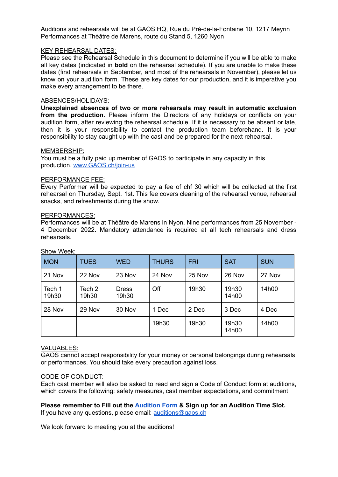Auditions and rehearsals will be at GAOS HQ, Rue du Pré-de-la-Fontaine 10, 1217 Meyrin Performances at Thèâtre de Marens, route du Stand 5, 1260 Nyon

#### KEY REHEARSAL DATES:

Please see the Rehearsal Schedule in this document to determine if you will be able to make all key dates (indicated in **bold** on the rehearsal schedule). If you are unable to make these dates (first rehearsals in September, and most of the rehearsals in November), please let us know on your audition form. These are key dates for our production, and it is imperative you make every arrangement to be there.

#### ABSENCES/HOLIDAYS:

**Unexplained absences of two or more rehearsals may result in automatic exclusion from the production.** Please inform the Directors of any holidays or conflicts on your audition form, after reviewing the rehearsal schedule. If it is necessary to be absent or late, then it is your responsibility to contact the production team beforehand. It is your responsibility to stay caught up with the cast and be prepared for the next rehearsal.

#### MEMBERSHIP:

You must be a fully paid up member of GAOS to participate in any capacity in this production. [www.GAOS.ch/join-us](http://www.gaos.ch/join-us)

#### PERFORMANCE FEE:

Every Performer will be expected to pay a fee of chf 30 which will be collected at the first rehearsal on Thursday, Sept. 1st. This fee covers cleaning of the rehearsal venue, rehearsal snacks, and refreshments during the show.

#### PERFORMANCES:

Performances will be at Théâtre de Marens in Nyon. Nine performances from 25 November - 4 December 2022. Mandatory attendance is required at all tech rehearsals and dress rehearsals.

| <b>MON</b>      | <b>TUES</b>     | <b>WED</b>            | <b>THURS</b> | <b>FRI</b> | <b>SAT</b>     | <b>SUN</b> |
|-----------------|-----------------|-----------------------|--------------|------------|----------------|------------|
| 21 Nov          | 22 Nov          | 23 Nov                | 24 Nov       | 25 Nov     | 26 Nov         | 27 Nov     |
| Tech 1<br>19h30 | Tech 2<br>19h30 | <b>Dress</b><br>19h30 | Off          | 19h30      | 19h30<br>14h00 | 14h00      |
| 28 Nov          | 29 Nov          | 30 Nov                | 1 Dec        | 2 Dec      | 3 Dec          | 4 Dec      |
|                 |                 |                       | 19h30        | 19h30      | 19h30<br>14h00 | 14h00      |

Show Week:

#### VALUABLES:

GAOS cannot accept responsibility for your money or personal belongings during rehearsals or performances. You should take every precaution against loss.

#### CODE OF CONDUCT:

Each cast member will also be asked to read and sign a Code of Conduct form at auditions, which covers the following: safety measures, cast member expectations, and commitment.

**Please remember to Fill out the [Audition](http://www.gaos.ch/audition-form) Form & Sign up for an Audition Time Slot.**

If you have any questions, please email: [auditions@gaos.ch](mailto:auditions@gaos.ch)

We look forward to meeting you at the auditions!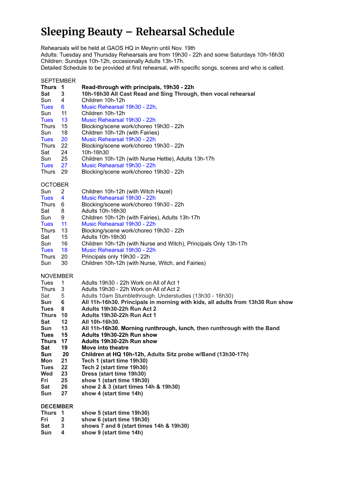# **Sleeping Beauty – Rehearsal Schedule**

Rehearsals will be held at GAOS HQ in Meyrin until Nov. 19th

Adults: Tuesday and Thursday Rehearsals are from 19h30 - 22h and some Saturdays 10h-16h30 Children: Sundays 10h-12h, occasionally Adults 13h-17h.

Detailed Schedule to be provided at first rehearsal, with specific songs, scenes and who is called.

#### SEPTEMBER

| Thurs           | $\overline{\mathbf{1}}$ | Read-through with principals, 19h30 - 22h                                      |
|-----------------|-------------------------|--------------------------------------------------------------------------------|
| Sat             | 3                       | 10h-16h30 All Cast Read and Sing Through, then vocal rehearsal                 |
| Sun             | 4                       | Children 10h-12h                                                               |
| <b>Tues</b>     | 6.                      | Music Rehearsal 19h30 - 22h,                                                   |
| Sun             | 11                      | Children 10h-12h                                                               |
| <b>Tues</b>     | 13                      | Music Rehearsal 19h30 - 22h                                                    |
| <b>Thurs</b>    | 15                      | Blocking/scene work/choreo 19h30 - 22h                                         |
| Sun             | 18                      | Children 10h-12h (with Fairies)                                                |
| <b>Tues</b>     | 20                      | Music Rehearsal 19h30 - 22h                                                    |
| <b>Thurs</b>    | 22                      | Blocking/scene work/choreo 19h30 - 22h                                         |
| Sat             | 24                      | 10h-16h30                                                                      |
| Sun             | 25                      | Children 10h-12h (with Nurse Hettie), Adults 13h-17h                           |
| <b>Tues</b>     | 27                      | Music Rehearsal 19h30 - 22h                                                    |
|                 |                         |                                                                                |
| Thurs           | 29                      | Blocking/scene work/choreo 19h30 - 22h                                         |
| <b>OCTOBER</b>  |                         |                                                                                |
| Sun             | 2                       | Children 10h-12h (with Witch Hazel)                                            |
| <b>Tues</b>     | 4                       | Music Rehearsal 19h30 - 22h                                                    |
| <b>Thurs</b>    |                         |                                                                                |
|                 | 6                       | Blocking/scene work/choreo 19h30 - 22h                                         |
| Sat             | 8                       | Adults 10h-16h30                                                               |
| Sun             | 9                       | Children 10h-12h (with Fairies), Adults 13h-17h                                |
| <b>Tues</b>     | 11                      | Music Rehearsal 19h30 - 22h                                                    |
| <b>Thurs</b>    | 13                      | Blocking/scene work/choreo 19h30 - 22h                                         |
| Sat             | 15                      | Adults 10h-16h30                                                               |
| Sun             | 16                      | Children 10h-12h (with Nurse and Witch), Principals Only 13h-17h               |
| <b>Tues</b>     | 18                      | Music Rehearsal 19h30 - 22h                                                    |
| <b>Thurs</b>    | 20                      | Principals only 19h30 - 22h                                                    |
| Sun             | 30                      | Children 10h-12h (with Nurse, Witch, and Fairies)                              |
|                 |                         |                                                                                |
| <b>NOVEMBER</b> |                         |                                                                                |
| <b>Tues</b>     | 1                       | Adults 19h30 - 22h Work on All of Act 1                                        |
| <b>Thurs</b>    | 3                       | Adults 19h30 - 22h Work on All of Act 2                                        |
| Sat             | 5                       | Adults 10am Stumblethrough. Understudies (13h30 - 16h30)                       |
| Sun             | 6                       | All 11h-16h30. Principals in morning with kids, all adults from 13h30 Run show |
| <b>Tues</b>     | 8                       | Adults 19h30-22h Run Act 2                                                     |
| Thurs           | 10                      | Adults 19h30-22h Run Act 1                                                     |
| <b>Sat</b>      | 12                      | All 10h-16h30.                                                                 |
| Sun             | 13                      | All 11h-16h30. Morning runthrough, lunch, then runthrough with the Band        |
| <b>Tues</b>     | 15                      | Adults 19h30-22h Run show                                                      |
| Thurs           | 17                      | Adults 19h30-22h Run show                                                      |
| Sat             | 19                      | Move into theatre                                                              |
| Sun             | 20                      | Children at HQ 10h-12h, Adults Sitz probe w/Band (13h30-17h)                   |
| Mon             | 21                      | Tech 1 (start time 19h30)                                                      |
| <b>Tues</b>     | 22                      | Tech 2 (start time 19h30)                                                      |
| Wed             | 23                      | Dress (start time 19h30)                                                       |
| Fri             | 25                      | show 1 (start time 19h30)                                                      |
| Sat             | 26                      | show 2 & 3 (start times 14h & 19h30)                                           |
| Sun             | 27                      | show 4 (start time 14h)                                                        |
|                 |                         |                                                                                |
| <b>DECEMBER</b> |                         |                                                                                |
| Thurs 1         |                         | show 5 (start time 19h30)                                                      |
| Fri             | $\mathbf{2}$            | show 6 (start time 19h30)                                                      |
| <b>Sat</b>      | 3                       | shows 7 and 8 (start times 14h & 19h30)                                        |

**Sun 4 show 9 (start time 14h)**